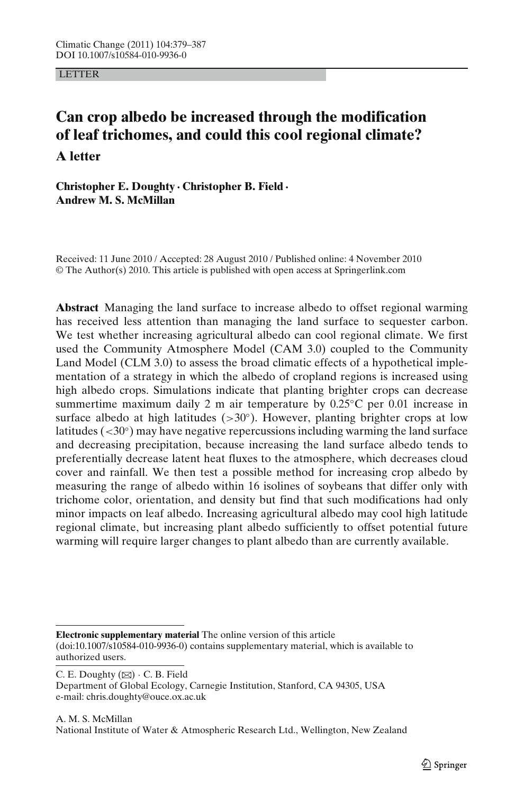LETTER

# **Can crop albedo be increased through the modification of leaf trichomes, and could this cool regional climate? A letter**

**Christopher E. Doughty · Christopher B. Field · Andrew M. S. McMillan**

Received: 11 June 2010 / Accepted: 28 August 2010 / Published online: 4 November 2010 © The Author(s) 2010. This article is published with open access at Springerlink.com

**Abstract** Managing the land surface to increase albedo to offset regional warming has received less attention than managing the land surface to sequester carbon. We test whether increasing agricultural albedo can cool regional climate. We first used the Community Atmosphere Model (CAM 3.0) coupled to the Community Land Model (CLM 3.0) to assess the broad climatic effects of a hypothetical implementation of a strategy in which the albedo of cropland regions is increased using high albedo crops. Simulations indicate that planting brighter crops can decrease summertime maximum daily 2 m air temperature by  $0.25\degree$ C per  $0.01$  increase in surface albedo at high latitudes ( $>30°$ ). However, planting brighter crops at low latitudes ( $\langle 30^\circ \rangle$  may have negative repercussions including warming the land surface and decreasing precipitation, because increasing the land surface albedo tends to preferentially decrease latent heat fluxes to the atmosphere, which decreases cloud cover and rainfall. We then test a possible method for increasing crop albedo by measuring the range of albedo within 16 isolines of soybeans that differ only with trichome color, orientation, and density but find that such modifications had only minor impacts on leaf albedo. Increasing agricultural albedo may cool high latitude regional climate, but increasing plant albedo sufficiently to offset potential future warming will require larger changes to plant albedo than are currently available.

**Electronic supplementary material** The online version of this article

(doi[:10.1007/s10584-010-9936-0\)](http://dx.doi.org/10.1007/s10584-010-9936-0) contains supplementary material, which is available to authorized users.

C. E. Doughty  $(\boxtimes) \cdot$  C. B. Field

Department of Global Ecology, Carnegie Institution, Stanford, CA 94305, USA e-mail: chris.doughty@ouce.ox.ac.uk

A. M. S. McMillan National Institute of Water & Atmospheric Research Ltd., Wellington, New Zealand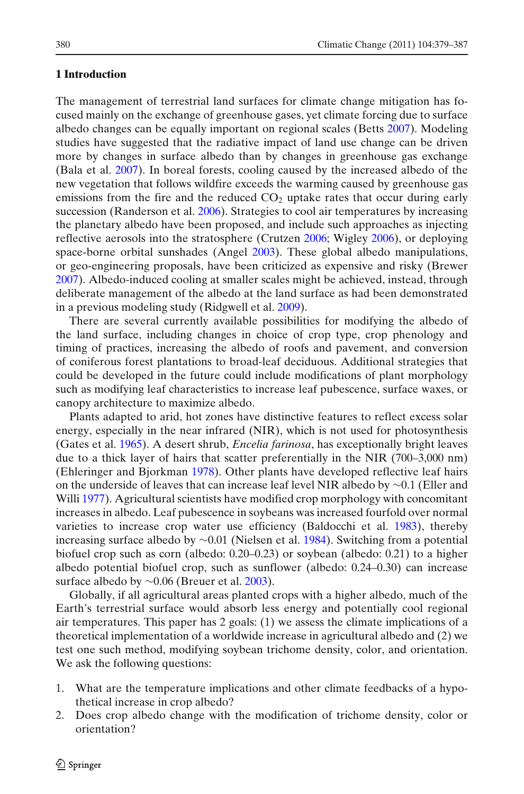## **1 Introduction**

The management of terrestrial land surfaces for climate change mitigation has focused mainly on the exchange of greenhouse gases, yet climate forcing due to surface albedo changes can be equally important on regional scales (Bett[s](#page-8-0) [2007](#page-8-0)). Modeling studies have suggested that the radiative impact of land use change can be driven more by changes in surface albedo than by changes in greenhouse gas exchange (Bala et al[.](#page-7-0) [2007\)](#page-7-0). In boreal forests, cooling caused by the increased albedo of the new vegetation that follows wildfire exceeds the warming caused by greenhouse gas emissions from the fire and the reduced  $CO<sub>2</sub>$  uptake rates that occur during early succession (Randerson et al[.](#page-8-0) [2006](#page-8-0)). Strategies to cool air temperatures by increasing the planetary albedo have been proposed, and include such approaches as injecting reflective aerosols into the stratosphere (Crutze[n](#page-8-0) [2006](#page-8-0); Wigle[y](#page-8-0) [2006\)](#page-8-0), or deploying space-borne orbital sunshades (Ange[l](#page-7-0) [2003\)](#page-7-0). These global albedo manipulations, or geo-engineering proposals, have been criticized as expensive and risky (Brewe[r](#page-8-0) [2007\)](#page-8-0). Albedo-induced cooling at smaller scales might be achieved, instead, through deliberate management of the albedo at the land surface as had been demonstrated in a previous modeling study (Ridgwell et al[.](#page-8-0) [2009\)](#page-8-0).

There are several currently available possibilities for modifying the albedo of the land surface, including changes in choice of crop type, crop phenology and timing of practices, increasing the albedo of roofs and pavement, and conversion of coniferous forest plantations to broad-leaf deciduous. Additional strategies that could be developed in the future could include modifications of plant morphology such as modifying leaf characteristics to increase leaf pubescence, surface waxes, or canopy architecture to maximize albedo.

Plants adapted to arid, hot zones have distinctive features to reflect excess solar energy, especially in the near infrared (NIR), which is not used for photosynthesis (Gates et al[.](#page-8-0) [1965](#page-8-0)). A desert shrub, *Encelia farinosa*, has exceptionally bright leaves due to a thick layer of hairs that scatter preferentially in the NIR (700–3,000 nm) (Ehleringer and Bjorkma[n](#page-8-0) [1978\)](#page-8-0). Other plants have developed reflective leaf hairs on the underside of leaves that can increase leaf level NIR albedo by ∼0.1 (Eller and Will[i](#page-8-0) [1977\)](#page-8-0). Agricultural scientists have modified crop morphology with concomitant increases in albedo. Leaf pubescence in soybeans was increased fourfold over normal varieties to increase crop water use efficiency (Baldocchi et al[.](#page-7-0) [1983\)](#page-7-0), thereby increasing surface albedo by ∼0.01 (Nielsen et al[.](#page-8-0) [1984\)](#page-8-0). Switching from a potential biofuel crop such as corn (albedo: 0.20–0.23) or soybean (albedo: 0.21) to a higher albedo potential biofuel crop, such as sunflower (albedo: 0.24–0.30) can increase surface albedo by  $\sim$ 0[.](#page-8-0)06 (Breuer et al. [2003](#page-8-0)).

Globally, if all agricultural areas planted crops with a higher albedo, much of the Earth's terrestrial surface would absorb less energy and potentially cool regional air temperatures. This paper has 2 goals: (1) we assess the climate implications of a theoretical implementation of a worldwide increase in agricultural albedo and (2) we test one such method, modifying soybean trichome density, color, and orientation. We ask the following questions:

- 1. What are the temperature implications and other climate feedbacks of a hypothetical increase in crop albedo?
- 2. Does crop albedo change with the modification of trichome density, color or orientation?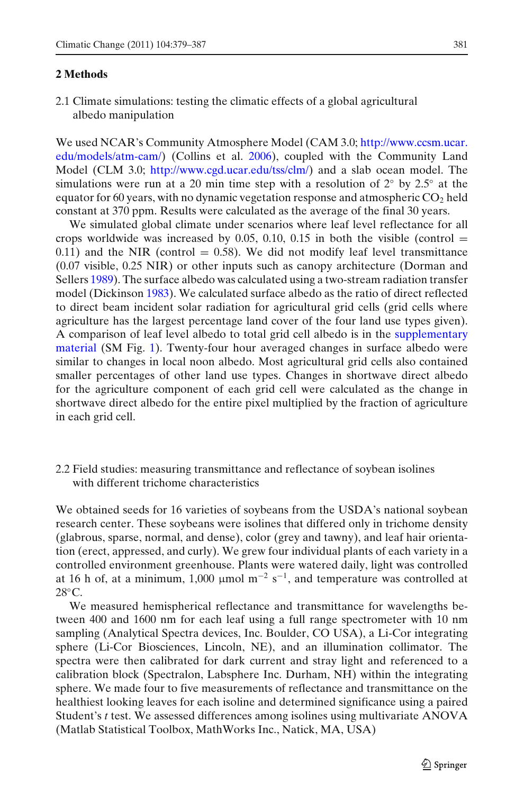2.1 Climate simulations: testing the climatic effects of a global agricultural albedo manipulation

We used NCAR's Community Atmosphere Model (CAM 3.0; [http://www.ccsm.ucar.](http://www.ccsm.ucar.edu/models/atm-cam/) [edu/models/atm-cam/\)](http://www.ccsm.ucar.edu/models/atm-cam/) (Collins et al[.](#page-8-0) [2006\)](#page-8-0), coupled with the Community Land Model (CLM 3.0; [http://www.cgd.ucar.edu/tss/clm/\)](http://www.cgd.ucar.edu/tss/clm/) and a slab ocean model. The simulations were run at a 20 min time step with a resolution of  $2°$  by  $2.5°$  at the equator for 60 years, with no dynamic vegetation response and atmospheric  $CO<sub>2</sub>$  held constant at 370 ppm. Results were calculated as the average of the final 30 years.

We simulated global climate under scenarios where leaf level reflectance for all crops worldwide was increased by 0.05, 0.10, 0.15 in both the visible (control  $=$ 0.11) and the NIR (control  $= 0.58$ ). We did not modify leaf level transmittance (0.07 visible, 0.25 NIR) or other inputs such as canopy architecture (Dorman and Seller[s](#page-8-0) [1989](#page-8-0)). The surface albedo was calculated using a two-stream radiation transfer model (Dickinso[n](#page-8-0) [1983\)](#page-8-0). We calculated surface albedo as the ratio of direct reflected to direct beam incident solar radiation for agricultural grid cells (grid cells where agriculture has the largest percentage land cover of the four land use types given). A comparison of leaf level albedo to total grid cell albedo is in the supplementary material (SM Fig. 1). Twenty-four hour averaged changes in surface albedo were similar to changes in local noon albedo. Most agricultural grid cells also contained smaller percentages of other land use types. Changes in shortwave direct albedo for the agriculture component of each grid cell were calculated as the change in shortwave direct albedo for the entire pixel multiplied by the fraction of agriculture in each grid cell.

2.2 Field studies: measuring transmittance and reflectance of soybean isolines with different trichome characteristics

We obtained seeds for 16 varieties of soybeans from the USDA's national soybean research center. These soybeans were isolines that differed only in trichome density (glabrous, sparse, normal, and dense), color (grey and tawny), and leaf hair orientation (erect, appressed, and curly). We grew four individual plants of each variety in a controlled environment greenhouse. Plants were watered daily, light was controlled at 16 h of, at a minimum, 1,000 µmol  $m^{-2}$  s<sup>-1</sup>, and temperature was controlled at 28<sup>°</sup>C.

We measured hemispherical reflectance and transmittance for wavelengths between 400 and 1600 nm for each leaf using a full range spectrometer with 10 nm sampling (Analytical Spectra devices, Inc. Boulder, CO USA), a Li-Cor integrating sphere (Li-Cor Biosciences, Lincoln, NE), and an illumination collimator. The spectra were then calibrated for dark current and stray light and referenced to a calibration block (Spectralon, Labsphere Inc. Durham, NH) within the integrating sphere. We made four to five measurements of reflectance and transmittance on the healthiest looking leaves for each isoline and determined significance using a paired Student's *t* test. We assessed differences among isolines using multivariate ANOVA (Matlab Statistical Toolbox, MathWorks Inc., Natick, MA, USA)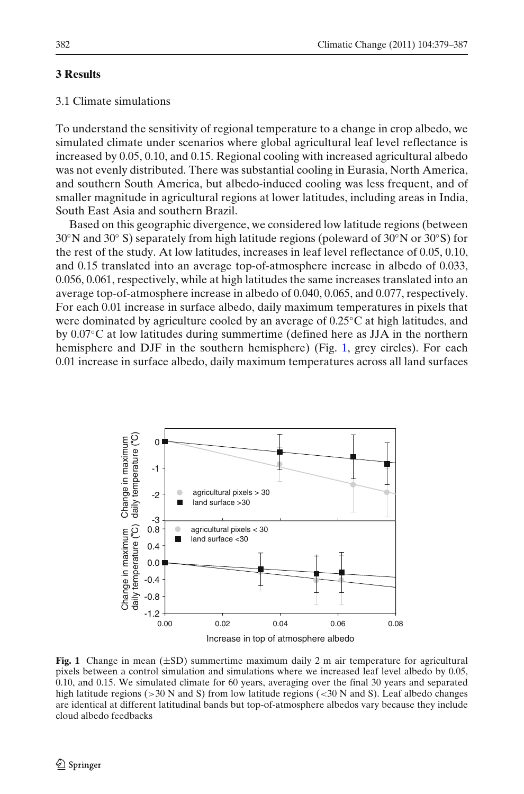### <span id="page-3-0"></span>**3 Results**

# 3.1 Climate simulations

To understand the sensitivity of regional temperature to a change in crop albedo, we simulated climate under scenarios where global agricultural leaf level reflectance is increased by 0.05, 0.10, and 0.15. Regional cooling with increased agricultural albedo was not evenly distributed. There was substantial cooling in Eurasia, North America, and southern South America, but albedo-induced cooling was less frequent, and of smaller magnitude in agricultural regions at lower latitudes, including areas in India, South East Asia and southern Brazil.

Based on this geographic divergence, we considered low latitude regions (between 30◦N and 30◦ S) separately from high latitude regions (poleward of 30◦N or 30◦S) for the rest of the study. At low latitudes, increases in leaf level reflectance of 0.05, 0.10, and 0.15 translated into an average top-of-atmosphere increase in albedo of 0.033, 0.056, 0.061, respectively, while at high latitudes the same increases translated into an average top-of-atmosphere increase in albedo of 0.040, 0.065, and 0.077, respectively. For each 0.01 increase in surface albedo, daily maximum temperatures in pixels that were dominated by agriculture cooled by an average of 0.25<sup>°</sup>C at high latitudes, and by 0.07◦C at low latitudes during summertime (defined here as JJA in the northern hemisphere and DJF in the southern hemisphere) (Fig. 1, grey circles). For each 0.01 increase in surface albedo, daily maximum temperatures across all land surfaces



**Fig. 1** Change in mean (±SD) summertime maximum daily 2 m air temperature for agricultural pixels between a control simulation and simulations where we increased leaf level albedo by 0.05, 0.10, and 0.15. We simulated climate for 60 years, averaging over the final 30 years and separated high latitude regions ( $>30$  N and S) from low latitude regions ( $<30$  N and S). Leaf albedo changes are identical at different latitudinal bands but top-of-atmosphere albedos vary because they include cloud albedo feedbacks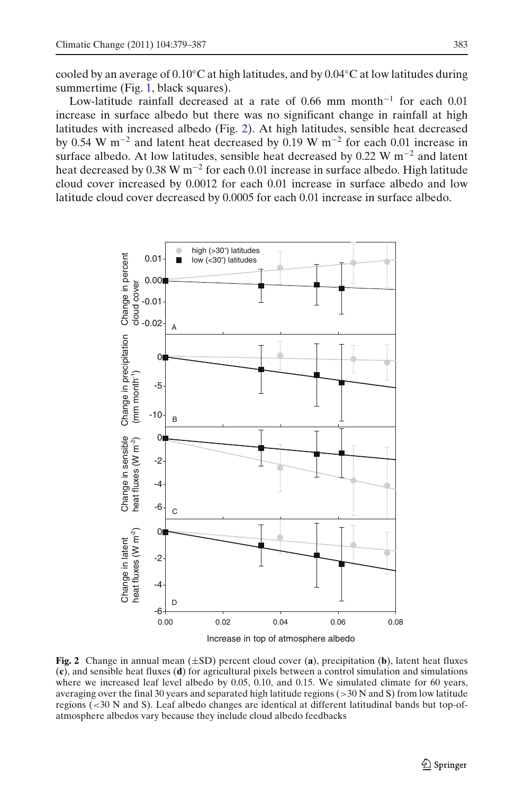cooled by an average of  $0.10\degree$ C at high latitudes, and by  $0.04\degree$ C at low latitudes during summertime (Fig. [1,](#page-3-0) black squares).

Low-latitude rainfall decreased at a rate of 0.66 mm month<sup>-1</sup> for each 0.01 increase in surface albedo but there was no significant change in rainfall at high latitudes with increased albedo (Fig. 2). At high latitudes, sensible heat decreased by 0.54 W m−<sup>2</sup> and latent heat decreased by 0.19 W m−<sup>2</sup> for each 0.01 increase in surface albedo. At low latitudes, sensible heat decreased by 0.22 W m−<sup>2</sup> and latent heat decreased by 0.38 W m−<sup>2</sup> for each 0.01 increase in surface albedo. High latitude cloud cover increased by 0.0012 for each 0.01 increase in surface albedo and low latitude cloud cover decreased by 0.0005 for each 0.01 increase in surface albedo.



**Fig. 2** Change in annual mean  $(\pm SD)$  percent cloud cover (a), precipitation (b), latent heat fluxes (**c**), and sensible heat fluxes (**d**) for agricultural pixels between a control simulation and simulations where we increased leaf level albedo by 0.05, 0.10, and 0.15. We simulated climate for 60 years, averaging over the final 30 years and separated high latitude regions (>30 N and S) from low latitude regions (<30 N and S). Leaf albedo changes are identical at different latitudinal bands but top-ofatmosphere albedos vary because they include cloud albedo feedbacks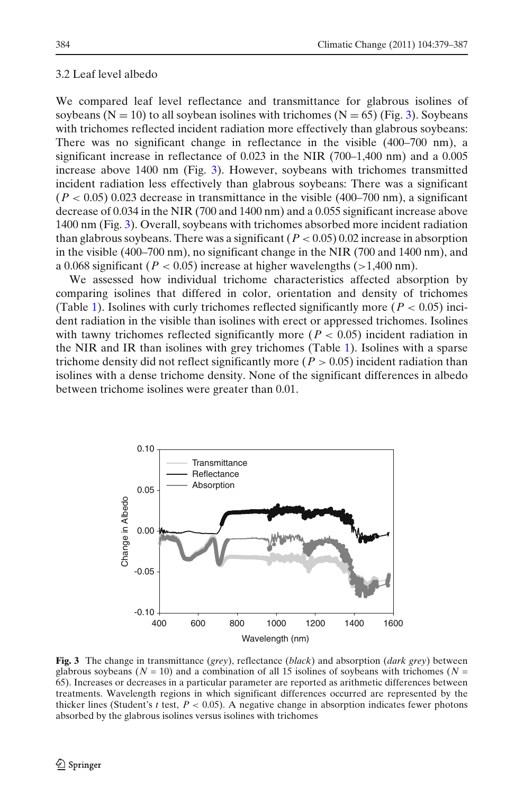## 3.2 Leaf level albedo

We compared leaf level reflectance and transmittance for glabrous isolines of soybeans ( $N = 10$ ) to all soybean isolines with trichomes ( $N = 65$ ) (Fig. 3). Soybeans with trichomes reflected incident radiation more effectively than glabrous soybeans: There was no significant change in reflectance in the visible (400–700 nm), a significant increase in reflectance of 0.023 in the NIR (700–1,400 nm) and a 0.005 increase above 1400 nm (Fig. 3). However, soybeans with trichomes transmitted incident radiation less effectively than glabrous soybeans: There was a significant  $(P < 0.05)$  0.023 decrease in transmittance in the visible (400–700 nm), a significant decrease of 0.034 in the NIR (700 and 1400 nm) and a 0.055 significant increase above 1400 nm (Fig. 3). Overall, soybeans with trichomes absorbed more incident radiation than glabrous soybeans. There was a significant  $(P < 0.05)$  0.02 increase in absorption in the visible (400–700 nm), no significant change in the NIR (700 and 1400 nm), and a 0.068 significant ( $P < 0.05$ ) increase at higher wavelengths ( $>1,400$  nm).

We assessed how individual trichome characteristics affected absorption by comparing isolines that differed in color, orientation and density of trichomes (Table [1\)](#page-6-0). Isolines with curly trichomes reflected significantly more ( $P < 0.05$ ) incident radiation in the visible than isolines with erect or appressed trichomes. Isolines with tawny trichomes reflected significantly more  $(P < 0.05)$  incident radiation in the NIR and IR than isolines with grey trichomes (Table [1\)](#page-6-0). Isolines with a sparse trichome density did not reflect significantly more ( $P > 0.05$ ) incident radiation than isolines with a dense trichome density. None of the significant differences in albedo between trichome isolines were greater than 0.01.



**Fig. 3** The change in transmittance (*grey*), reflectance (*black*) and absorption (*dark grey*) between glabrous soybeans ( $N = 10$ ) and a combination of all 15 isolines of soybeans with trichomes ( $N =$ 65). Increases or decreases in a particular parameter are reported as arithmetic differences between treatments. Wavelength regions in which significant differences occurred are represented by the thicker lines (Student's  $t$  test,  $P < 0.05$ ). A negative change in absorption indicates fewer photons absorbed by the glabrous isolines versus isolines with trichomes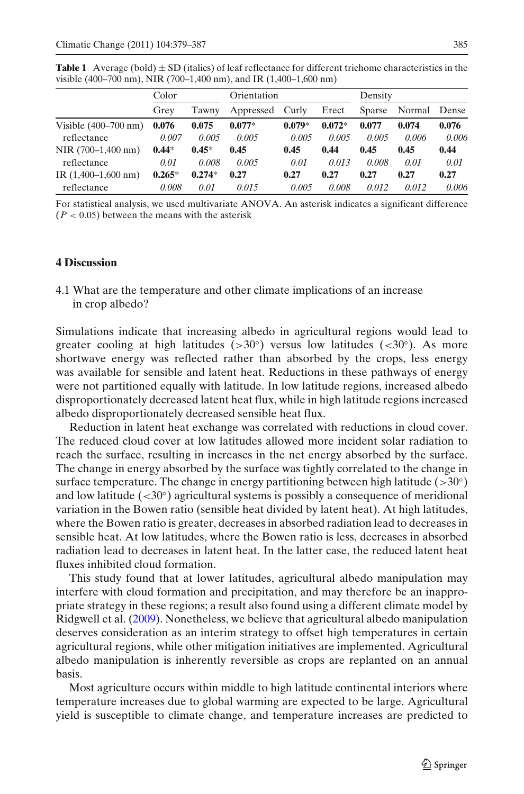|                                       | Color          |                | Orientation       |                   | Density           |                |                |                |
|---------------------------------------|----------------|----------------|-------------------|-------------------|-------------------|----------------|----------------|----------------|
|                                       | Grey           | Tawny          | Appressed         | Curly             | Erect             | Sparse         | Normal         | Dense          |
| Visible $(400-700$ nm)<br>reflectance | 0.076<br>0.007 | 0.075<br>0.005 | $0.077*$<br>0.005 | $0.079*$<br>0.005 | $0.072*$<br>0.005 | 0.077<br>0.005 | 0.074<br>0.006 | 0.076<br>0.006 |
| $NIR(700-1,400 nm)$                   | $0.44*$        | $0.45*$        | 0.45              | 0.45              | 0.44              | 0.45           | 0.45           | 0.44           |
| reflectance                           | 0.01           | 0.008          | 0.005             | 0.01              | 0.013             | 0.008          | 0.01           | 0.01           |
| IR $(1,400-1,600$ nm)                 | $0.265*$       | $0.274*$       | 0.27              | 0.27              | 0.27              | 0.27           | 0.27           | 0.27           |
| reflectance                           | 0.008          | 0.01           | 0.015             | 0.005             | 0.008             | 0.012          | 0.012          | 0.006          |

<span id="page-6-0"></span>**Table 1** Average (bold)  $\pm$  SD (italics) of leaf reflectance for different trichome characteristics in the visible (400–700 nm), NIR (700–1,400 nm), and IR (1,400–1,600 nm)

For statistical analysis, we used multivariate ANOVA. An asterisk indicates a significant difference  $(P < 0.05)$  between the means with the asterisk

## **4 Discussion**

4.1 What are the temperature and other climate implications of an increase in crop albedo?

Simulations indicate that increasing albedo in agricultural regions would lead to greater cooling at high latitudes ( $>30°$ ) versus low latitudes ( $<30°$ ). As more shortwave energy was reflected rather than absorbed by the crops, less energy was available for sensible and latent heat. Reductions in these pathways of energy were not partitioned equally with latitude. In low latitude regions, increased albedo disproportionately decreased latent heat flux, while in high latitude regions increased albedo disproportionately decreased sensible heat flux.

Reduction in latent heat exchange was correlated with reductions in cloud cover. The reduced cloud cover at low latitudes allowed more incident solar radiation to reach the surface, resulting in increases in the net energy absorbed by the surface. The change in energy absorbed by the surface was tightly correlated to the change in surface temperature. The change in energy partitioning between high latitude ( $>30°$ ) and low latitude  $\left( < 30° \right)$  agricultural systems is possibly a consequence of meridional variation in the Bowen ratio (sensible heat divided by latent heat). At high latitudes, where the Bowen ratio is greater, decreases in absorbed radiation lead to decreases in sensible heat. At low latitudes, where the Bowen ratio is less, decreases in absorbed radiation lead to decreases in latent heat. In the latter case, the reduced latent heat fluxes inhibited cloud formation.

This study found that at lower latitudes, agricultural albedo manipulation may interfere with cloud formation and precipitation, and may therefore be an inappropriate strategy in these regions; a result also found using a different climate model by Ridgwell et al[.](#page-8-0) [\(2009\)](#page-8-0). Nonetheless, we believe that agricultural albedo manipulation deserves consideration as an interim strategy to offset high temperatures in certain agricultural regions, while other mitigation initiatives are implemented. Agricultural albedo manipulation is inherently reversible as crops are replanted on an annual basis.

Most agriculture occurs within middle to high latitude continental interiors where temperature increases due to global warming are expected to be large. Agricultural yield is susceptible to climate change, and temperature increases are predicted to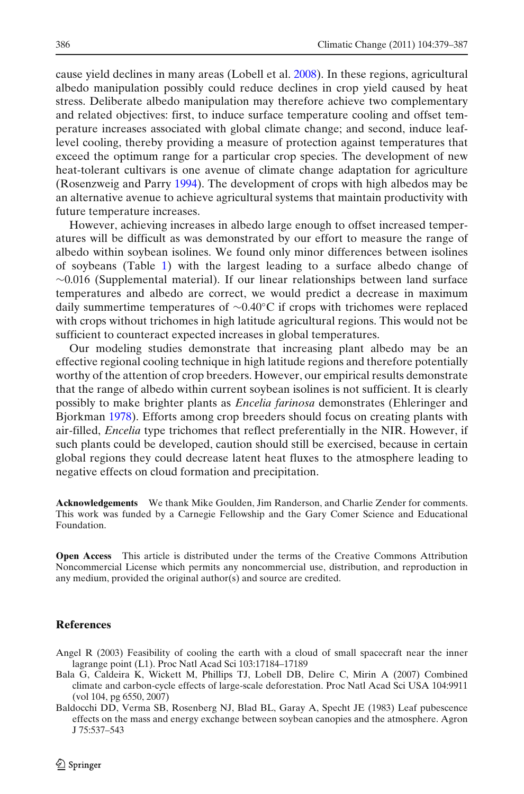<span id="page-7-0"></span>cause yield declines in many areas (Lobell et al[.](#page-8-0) [2008\)](#page-8-0). In these regions, agricultural albedo manipulation possibly could reduce declines in crop yield caused by heat stress. Deliberate albedo manipulation may therefore achieve two complementary and related objectives: first, to induce surface temperature cooling and offset temperature increases associated with global climate change; and second, induce leaflevel cooling, thereby providing a measure of protection against temperatures that exceed the optimum range for a particular crop species. The development of new heat-tolerant cultivars is one avenue of climate change adaptation for agriculture (Rosenzweig and Parr[y](#page-8-0) [1994](#page-8-0)). The development of crops with high albedos may be an alternative avenue to achieve agricultural systems that maintain productivity with future temperature increases.

However, achieving increases in albedo large enough to offset increased temperatures will be difficult as was demonstrated by our effort to measure the range of albedo within soybean isolines. We found only minor differences between isolines of soybeans (Table [1\)](#page-6-0) with the largest leading to a surface albedo change of ∼0.016 (Supplemental material). If our linear relationships between land surface temperatures and albedo are correct, we would predict a decrease in maximum daily summertime temperatures of ∼0.40◦C if crops with trichomes were replaced with crops without trichomes in high latitude agricultural regions. This would not be sufficient to counteract expected increases in global temperatures.

Our modeling studies demonstrate that increasing plant albedo may be an effective regional cooling technique in high latitude regions and therefore potentially worthy of the attention of crop breeders. However, our empirical results demonstrate that the range of albedo within current soybean isolines is not sufficient. It is clearly possibly to make brighter plants as *Encelia farinosa* demonstrates (Ehleringer and Bjorkma[n](#page-8-0) [1978](#page-8-0)). Efforts among crop breeders should focus on creating plants with air-filled, *Encelia* type trichomes that reflect preferentially in the NIR. However, if such plants could be developed, caution should still be exercised, because in certain global regions they could decrease latent heat fluxes to the atmosphere leading to negative effects on cloud formation and precipitation.

**Acknowledgements** We thank Mike Goulden, Jim Randerson, and Charlie Zender for comments. This work was funded by a Carnegie Fellowship and the Gary Comer Science and Educational Foundation.

**Open Access** This article is distributed under the terms of the Creative Commons Attribution Noncommercial License which permits any noncommercial use, distribution, and reproduction in any medium, provided the original author(s) and source are credited.

### **References**

- Angel R (2003) Feasibility of cooling the earth with a cloud of small spacecraft near the inner lagrange point (L1). Proc Natl Acad Sci 103:17184–17189
- Bala G, Caldeira K, Wickett M, Phillips TJ, Lobell DB, Delire C, Mirin A (2007) Combined climate and carbon-cycle effects of large-scale deforestation. Proc Natl Acad Sci USA 104:9911 (vol 104, pg 6550, 2007)
- Baldocchi DD, Verma SB, Rosenberg NJ, Blad BL, Garay A, Specht JE (1983) Leaf pubescence effects on the mass and energy exchange between soybean canopies and the atmosphere. Agron J 75:537–543